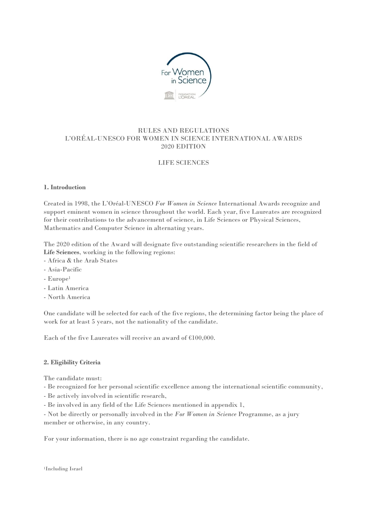

# RULES AND REGULATIONS L'ORÉAL-UNESCO FOR WOMEN IN SCIENCE INTERNATIONAL AWARDS 2020 EDITION

# LIFE SCIENCES

### **1. Introduction**

Created in 1998, the L'Oréal-UNESCO *For Women in Science* International Awards recognize and support eminent women in science throughout the world. Each year, five Laureates are recognized for their contributions to the advancement of science, in Life Sciences or Physical Sciences, Mathematics and Computer Science in alternating years.

The 2020 edition of the Award will designate five outstanding scientific researchers in the field of **Life Sciences**, working in the following regions:

- Africa & the Arab States
- Asia-Pacific
- Europe<sup>1</sup>
- Latin America
- North America

One candidate will be selected for each of the five regions, the determining factor being the place of work for at least 5 years, not the nationality of the candidate.

Each of the five Laureates will receive an award of €100,000.

### **2. Eligibility Criteria**

The candidate must:

- Be recognized for her personal scientific excellence among the international scientific community,
- Be actively involved in scientific research,
- Be involved in any field of the Life Sciences mentioned in appendix 1,

- Not be directly or personally involved in the *For Women in Science* Programme, as a jury member or otherwise, in any country.

For your information, there is no age constraint regarding the candidate.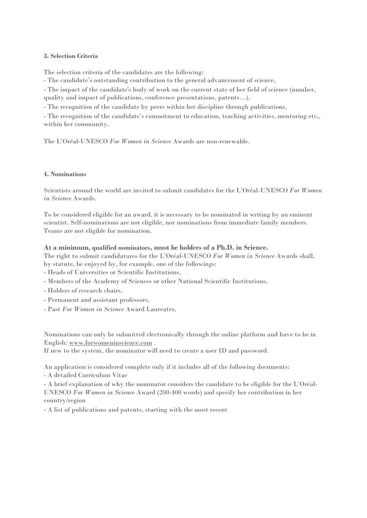### **3. Selection Criteria**

The selection criteria of the candidates are the following:

- The candidate's outstanding contribution to the general advancement of science,

- The impact of the candidate's body of work on the current state of her field of science (number, quality and impact of publications, conference presentations, patents…),

- The recognition of the candidate by peers within her discipline through publications,

- The recognition of the candidate's commitment to education, teaching activities, mentoring etc., within her community.

The L'Oréal-UNESCO *For Women in Science* Awards are non-renewable.

### **4. Nominations**

Scientists around the world are invited to submit candidates for the L'Oréal-UNESCO *For Women in Science* Awards.

To be considered eligible for an award, it is necessary to be nominated in writing by an eminent scientist. Self-nominations are not eligible, nor nominations from immediate family members. Teams are not eligible for nomination.

## **At a minimum, qualified nominators, must be holders of a Ph.D. in Science.**

The right to submit candidatures for the L'Oréal-UNESCO *For Women in Science* Awards shall, by statute, be enjoyed by, for example, one of the followings:

- Heads of Universities or Scientific Institutions,

- Members of the Academy of Sciences or other National Scientific Institutions,
- Holders of research chairs,
- Permanent and assistant professors,
- Past *For Women in Science* Award Laureates,

Nominations can only be submitted electronically through the online platform and have to be in English: [www.forwomeninscience.com](http://www.forwomeninscience.com/) .

If new to the system, the nominator will need to create a user ID and password.

An application is considered complete only if it includes all of the following documents: - A detailed Curriculum Vitae

- A brief explanation of why the nominator considers the candidate to be eligible for the L'Oréal-UNESCO *For Women in Science* Award (200-400 words) and specify her contribution in her country/region

- A list of publications and patents, starting with the most recent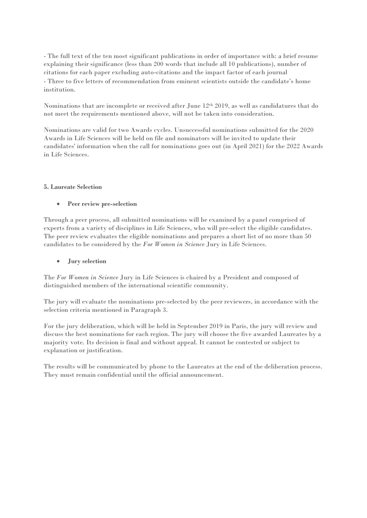- The full text of the ten most significant publications in order of importance with: a brief resume explaining their significance (less than 200 words that include all 10 publications), number of citations for each paper excluding auto-citations and the impact factor of each journal - Three to five letters of recommendation from eminent scientists outside the candidate's home institution.

Nominations that are incomplete or received after June 12th 2019, as well as candidatures that do not meet the requirements mentioned above, will not be taken into consideration.

Nominations are valid for two Awards cycles. Unsuccessful nominations submitted for the 2020 Awards in Life Sciences will be held on file and nominators will be invited to update their candidates' information when the call for nominations goes out (in April 2021) for the 2022 Awards in Life Sciences.

### **5. Laureate Selection**

## **Peer review pre-selection**

Through a peer process, all submitted nominations will be examined by a panel comprised of experts from a variety of disciplines in Life Sciences, who will pre-select the eligible candidates. The peer review evaluates the eligible nominations and prepares a short list of no more than 50 candidates to be considered by the *For Women in Science* Jury in Life Sciences.

# **Jury selection**

The *For Women in Science* Jury in Life Sciences is chaired by a President and composed of distinguished members of the international scientific community.

The jury will evaluate the nominations pre-selected by the peer reviewers, in accordance with the selection criteria mentioned in Paragraph 3.

For the jury deliberation, which will be held in September 2019 in Paris, the jury will review and discuss the best nominations for each region. The jury will choose the five awarded Laureates by a majority vote. Its decision is final and without appeal. It cannot be contested or subject to explanation or justification.

The results will be communicated by phone to the Laureates at the end of the deliberation process. They must remain confidential until the official announcement.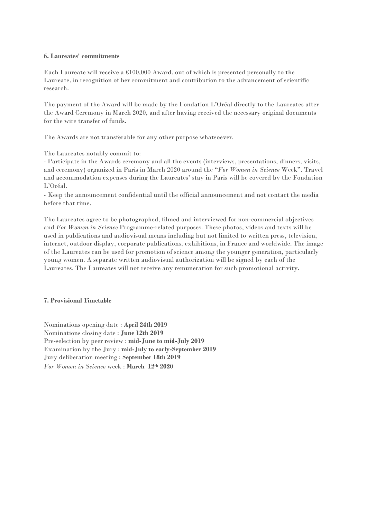#### **6. Laureates' commitments**

Each Laureate will receive a €100,000 Award, out of which is presented personally to the Laureate, in recognition of her commitment and contribution to the advancement of scientific research.

The payment of the Award will be made by the Fondation L'Oréal directly to the Laureates after the Award Ceremony in March 2020, and after having received the necessary original documents for the wire transfer of funds.

The Awards are not transferable for any other purpose whatsoever.

The Laureates notably commit to:

- Participate in the Awards ceremony and all the events (interviews, presentations, dinners, visits, and ceremony) organized in Paris in March 2020 around the "*For Women in Science* Week". Travel and accommodation expenses during the Laureates' stay in Paris will be covered by the Fondation L'Oréal.

- Keep the announcement confidential until the official announcement and not contact the media before that time.

The Laureates agree to be photographed, filmed and interviewed for non-commercial objectives and *For Women in Science* Programme-related purposes. These photos, videos and texts will be used in publications and audiovisual means including but not limited to written press, television, internet, outdoor display, corporate publications, exhibitions, in France and worldwide. The image of the Laureates can be used for promotion of science among the younger generation, particularly young women. A separate written audiovisual authorization will be signed by each of the Laureates. The Laureates will not receive any remuneration for such promotional activity.

#### **7. Provisional Timetable**

Nominations opening date : **April 24th 2019** Nominations closing date : **June 12th 2019** Pre-selection by peer review : **mid-June to mid-July 2019** Examination by the Jury : **mid-July to early-September 2019**  Jury deliberation meeting : **September 18th 2019** *For Women in Science* week : **March 12th 2020**